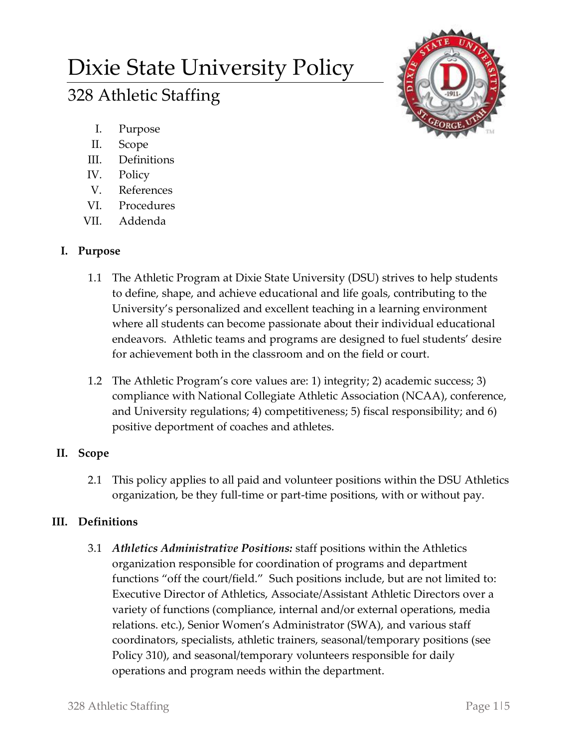# Dixie State University Policy 328 Athletic Staffing



- I. Purpose
- II. Scope
- III. Definitions
- IV. Policy
- V. References
- VI. Procedures
- VII. Addenda

## **I. Purpose**

- 1.1 The Athletic Program at Dixie State University (DSU) strives to help students to define, shape, and achieve educational and life goals, contributing to the University's personalized and excellent teaching in a learning environment where all students can become passionate about their individual educational endeavors. Athletic teams and programs are designed to fuel students' desire for achievement both in the classroom and on the field or court.
- 1.2 The Athletic Program's core values are: 1) integrity; 2) academic success; 3) compliance with National Collegiate Athletic Association (NCAA), conference, and University regulations; 4) competitiveness; 5) fiscal responsibility; and 6) positive deportment of coaches and athletes.

# **II. Scope**

2.1 This policy applies to all paid and volunteer positions within the DSU Athletics organization, be they full-time or part-time positions, with or without pay.

# **III. Definitions**

3.1 *Athletics Administrative Positions:* staff positions within the Athletics organization responsible for coordination of programs and department functions "off the court/field." Such positions include, but are not limited to: Executive Director of Athletics, Associate/Assistant Athletic Directors over a variety of functions (compliance, internal and/or external operations, media relations. etc.), Senior Women's Administrator (SWA), and various staff coordinators, specialists, athletic trainers, seasonal/temporary positions (see Policy 310), and seasonal/temporary volunteers responsible for daily operations and program needs within the department.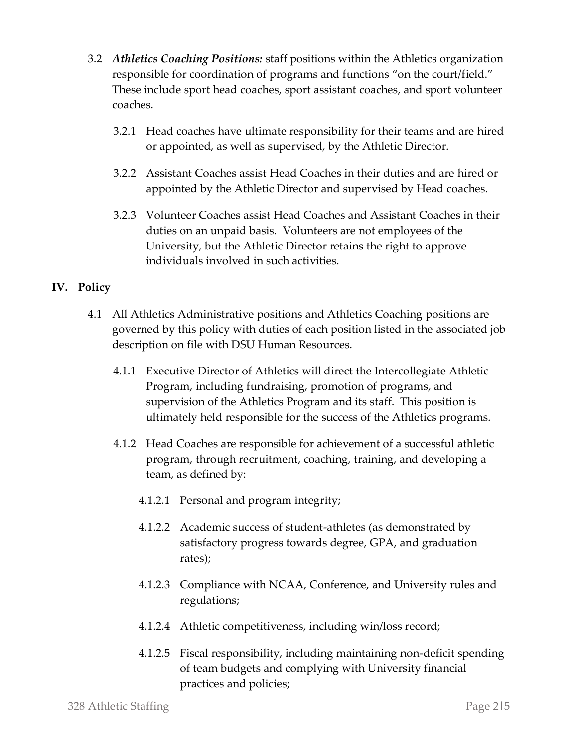- 3.2 *Athletics Coaching Positions:* staff positions within the Athletics organization responsible for coordination of programs and functions "on the court/field." These include sport head coaches, sport assistant coaches, and sport volunteer coaches.
	- 3.2.1 Head coaches have ultimate responsibility for their teams and are hired or appointed, as well as supervised, by the Athletic Director.
	- 3.2.2 Assistant Coaches assist Head Coaches in their duties and are hired or appointed by the Athletic Director and supervised by Head coaches.
	- 3.2.3 Volunteer Coaches assist Head Coaches and Assistant Coaches in their duties on an unpaid basis. Volunteers are not employees of the University, but the Athletic Director retains the right to approve individuals involved in such activities.

## **IV. Policy**

- 4.1 All Athletics Administrative positions and Athletics Coaching positions are governed by this policy with duties of each position listed in the associated job description on file with DSU Human Resources.
	- 4.1.1 Executive Director of Athletics will direct the Intercollegiate Athletic Program, including fundraising, promotion of programs, and supervision of the Athletics Program and its staff. This position is ultimately held responsible for the success of the Athletics programs.
	- 4.1.2 Head Coaches are responsible for achievement of a successful athletic program, through recruitment, coaching, training, and developing a team, as defined by:
		- 4.1.2.1 Personal and program integrity;
		- 4.1.2.2 Academic success of student-athletes (as demonstrated by satisfactory progress towards degree, GPA, and graduation rates);
		- 4.1.2.3 Compliance with NCAA, Conference, and University rules and regulations;
		- 4.1.2.4 Athletic competitiveness, including win/loss record;
		- 4.1.2.5 Fiscal responsibility, including maintaining non-deficit spending of team budgets and complying with University financial practices and policies;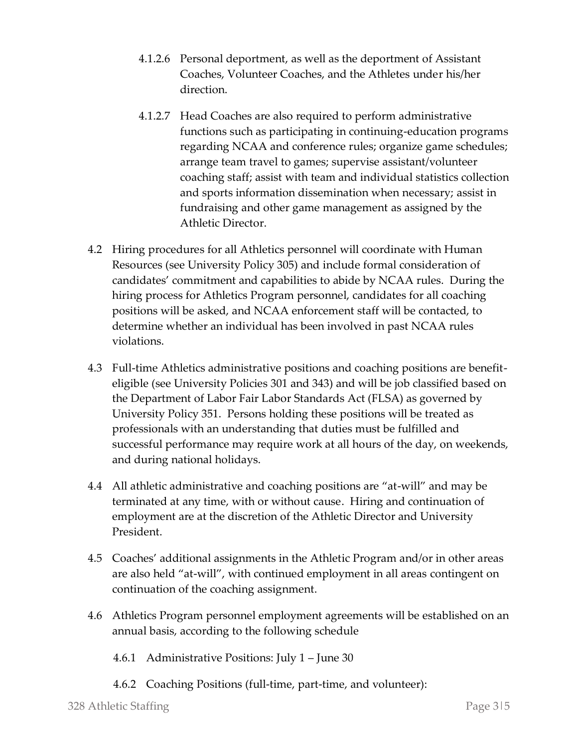- 4.1.2.6 Personal deportment, as well as the deportment of Assistant Coaches, Volunteer Coaches, and the Athletes under his/her direction.
- 4.1.2.7 Head Coaches are also required to perform administrative functions such as participating in continuing-education programs regarding NCAA and conference rules; organize game schedules; arrange team travel to games; supervise assistant/volunteer coaching staff; assist with team and individual statistics collection and sports information dissemination when necessary; assist in fundraising and other game management as assigned by the Athletic Director.
- 4.2 Hiring procedures for all Athletics personnel will coordinate with Human Resources (see University Policy 305) and include formal consideration of candidates' commitment and capabilities to abide by NCAA rules. During the hiring process for Athletics Program personnel, candidates for all coaching positions will be asked, and NCAA enforcement staff will be contacted, to determine whether an individual has been involved in past NCAA rules violations.
- 4.3 Full-time Athletics administrative positions and coaching positions are benefiteligible (see University Policies 301 and 343) and will be job classified based on the Department of Labor Fair Labor Standards Act (FLSA) as governed by University Policy 351. Persons holding these positions will be treated as professionals with an understanding that duties must be fulfilled and successful performance may require work at all hours of the day, on weekends, and during national holidays.
- 4.4 All athletic administrative and coaching positions are "at-will" and may be terminated at any time, with or without cause. Hiring and continuation of employment are at the discretion of the Athletic Director and University President.
- 4.5 Coaches' additional assignments in the Athletic Program and/or in other areas are also held "at-will", with continued employment in all areas contingent on continuation of the coaching assignment.
- 4.6 Athletics Program personnel employment agreements will be established on an annual basis, according to the following schedule
	- 4.6.1 Administrative Positions: July 1 June 30
	- 4.6.2 Coaching Positions (full-time, part-time, and volunteer):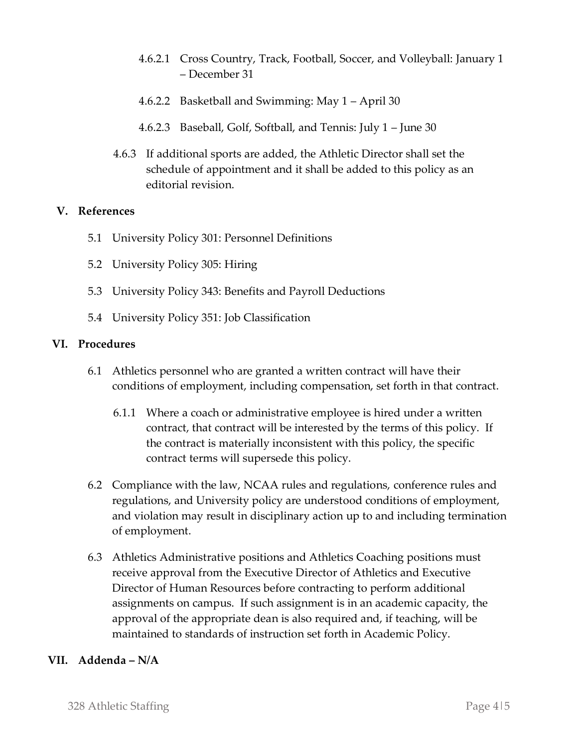- 4.6.2.1 Cross Country, Track, Football, Soccer, and Volleyball: January 1 – December 31
- 4.6.2.2 Basketball and Swimming: May 1 April 30
- 4.6.2.3 Baseball, Golf, Softball, and Tennis: July 1 June 30
- 4.6.3 If additional sports are added, the Athletic Director shall set the schedule of appointment and it shall be added to this policy as an editorial revision.

## **V. References**

- 5.1 University Policy 301: Personnel Definitions
- 5.2 University Policy 305: Hiring
- 5.3 University Policy 343: Benefits and Payroll Deductions
- 5.4 University Policy 351: Job Classification

### **VI. Procedures**

- 6.1 Athletics personnel who are granted a written contract will have their conditions of employment, including compensation, set forth in that contract.
	- 6.1.1 Where a coach or administrative employee is hired under a written contract, that contract will be interested by the terms of this policy. If the contract is materially inconsistent with this policy, the specific contract terms will supersede this policy.
- 6.2 Compliance with the law, NCAA rules and regulations, conference rules and regulations, and University policy are understood conditions of employment, and violation may result in disciplinary action up to and including termination of employment.
- 6.3 Athletics Administrative positions and Athletics Coaching positions must receive approval from the Executive Director of Athletics and Executive Director of Human Resources before contracting to perform additional assignments on campus. If such assignment is in an academic capacity, the approval of the appropriate dean is also required and, if teaching, will be maintained to standards of instruction set forth in Academic Policy.

### **VII. Addenda – N/A**